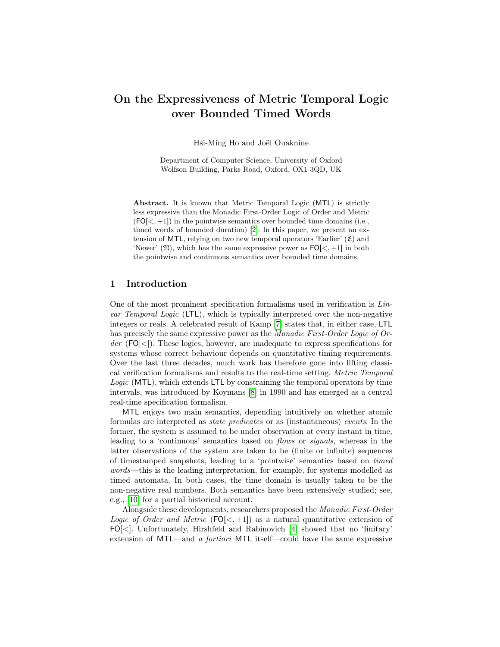# On the Expressiveness of Metric Temporal Logic over Bounded Timed Words

Hsi-Ming Ho and Joël Ouaknine

Department of Computer Science, University of Oxford Wolfson Building, Parks Road, Oxford, OX1 3QD, UK

Abstract. It is known that Metric Temporal Logic (MTL) is strictly less expressive than the Monadic First-Order Logic of Order and Metric  $(FO[\langle ,+1]$ ) in the pointwise semantics over bounded time domains (i.e., timed words of bounded duration) [\[2\]](#page-13-0). In this paper, we present an extension of MTL, relying on two new temporal operators 'Earlier'  $(\mathfrak{E})$  and 'Newer'  $(\mathfrak{N})$ , which has the same expressive power as  $FO[\lt, +1]$  in both the pointwise and continuous semantics over bounded time domains.

# 1 Introduction

One of the most prominent specification formalisms used in verification is Linear Temporal Logic (LTL), which is typically interpreted over the non-negative integers or reals. A celebrated result of Kamp [\[7\]](#page-13-1) states that, in either case, LTL has precisely the same expressive power as the Monadic First-Order Logic of Or $der$  (FO $\leq$ ). These logics, however, are inadequate to express specifications for systems whose correct behaviour depends on quantitative timing requirements. Over the last three decades, much work has therefore gone into lifting classical verification formalisms and results to the real-time setting. Metric Temporal Logic (MTL), which extends LTL by constraining the temporal operators by time intervals, was introduced by Koymans [\[8\]](#page-13-2) in 1990 and has emerged as a central real-time specification formalism.

MTL enjoys two main semantics, depending intuitively on whether atomic formulas are interpreted as state predicates or as (instantaneous) events. In the former, the system is assumed to be under observation at every instant in time, leading to a 'continuous' semantics based on flows or signals, whereas in the latter observations of the system are taken to be (finite or infinite) sequences of timestamped snapshots, leading to a 'pointwise' semantics based on timed words—this is the leading interpretation, for example, for systems modelled as timed automata. In both cases, the time domain is usually taken to be the non-negative real numbers. Both semantics have been extensively studied; see, e.g., [\[10\]](#page-13-3) for a partial historical account.

Alongside these developments, researchers proposed the Monadic First-Order Logic of Order and Metric  $(FO[\lt, +1])$  as a natural quantitative extension of FO[<]. Unfortunately, Hirshfeld and Rabinovich [\[4\]](#page-13-4) showed that no 'finitary' extension of MTL—and a fortiori MTL itself—could have the same expressive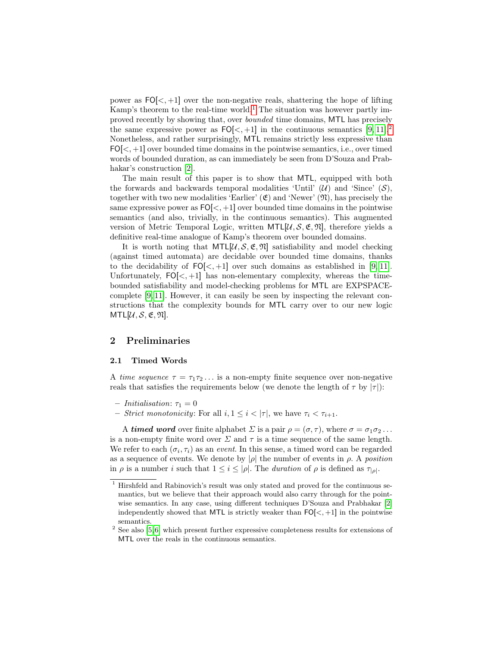power as  $FO[\langle, +1]$  over the non-negative reals, shattering the hope of lifting Kamp's theorem to the real-time world.<sup>[1](#page-1-0)</sup> The situation was however partly improved recently by showing that, over bounded time domains, MTL has precisely the same expressive power as  $FO[<, +1]$  in the continuous semantics [\[9,](#page-13-5) [11\]](#page-13-6).<sup>[2](#page-1-1)</sup> Nonetheless, and rather surprisingly, MTL remains strictly less expressive than  $FO[\langle ,+1]$  over bounded time domains in the pointwise semantics, i.e., over timed words of bounded duration, as can immediately be seen from D'Souza and Prab-hakar's construction [\[2\]](#page-13-0).

The main result of this paper is to show that MTL, equipped with both the forwards and backwards temporal modalities 'Until'  $(\mathcal{U})$  and 'Since'  $(\mathcal{S})$ , together with two new modalities 'Earlier'  $(\mathfrak{E})$  and 'Newer'  $(\mathfrak{N})$ , has precisely the same expressive power as  $FO[\langle ,+1]$  over bounded time domains in the pointwise semantics (and also, trivially, in the continuous semantics). This augmented version of Metric Temporal Logic, written  $MTL[\mathcal{U}, \mathcal{S}, \mathfrak{E}, \mathfrak{N}]$ , therefore yields a definitive real-time analogue of Kamp's theorem over bounded domains.

It is worth noting that  $MTL[\mathcal{U}, \mathcal{S}, \mathfrak{E}, \mathfrak{N}]$  satisfiability and model checking (against timed automata) are decidable over bounded time domains, thanks to the decidability of  $FO[\langle, +1]$  over such domains as established in [\[9,](#page-13-5) [11\]](#page-13-6). Unfortunately,  $FO[<, +1]$  has non-elementary complexity, whereas the timebounded satisfiability and model-checking problems for MTL are EXPSPACEcomplete [\[9,](#page-13-5) [11\]](#page-13-6). However, it can easily be seen by inspecting the relevant constructions that the complexity bounds for MTL carry over to our new logic  $MTL[\mathcal{U}, \mathcal{S}, \mathfrak{E}, \mathfrak{N}].$ 

# 2 Preliminaries

#### 2.1 Timed Words

A time sequence  $\tau = \tau_1 \tau_2 \ldots$  is a non-empty finite sequence over non-negative reals that satisfies the requirements below (we denote the length of  $\tau$  by  $|\tau|$ ):

- Initialisation:  $\tau_1 = 0$
- Strict monotonicity: For all  $i, 1 \leq i < |\tau|$ , we have  $\tau_i < \tau_{i+1}$ .

A timed word over finite alphabet  $\Sigma$  is a pair  $\rho = (\sigma, \tau)$ , where  $\sigma = \sigma_1 \sigma_2 \ldots$ is a non-empty finite word over  $\Sigma$  and  $\tau$  is a time sequence of the same length. We refer to each  $(\sigma_i, \tau_i)$  as an *event*. In this sense, a timed word can be regarded as a sequence of events. We denote by  $|\rho|$  the number of events in  $\rho$ . A position in  $\rho$  is a number i such that  $1 \leq i \leq |\rho|$ . The duration of  $\rho$  is defined as  $\tau_{|\rho|}$ .

<span id="page-1-0"></span> $^{\rm 1}$  Hirshfeld and Rabinovich's result was only stated and proved for the continuous semantics, but we believe that their approach would also carry through for the pointwise semantics. In any case, using different techniques D'Souza and Prabhakar [\[2\]](#page-13-0) independently showed that MTL is strictly weaker than  $FO[<, +1]$  in the pointwise semantics.

<span id="page-1-1"></span> $2$  See also [\[5,](#page-13-7)6] which present further expressive completeness results for extensions of MTL over the reals in the continuous semantics.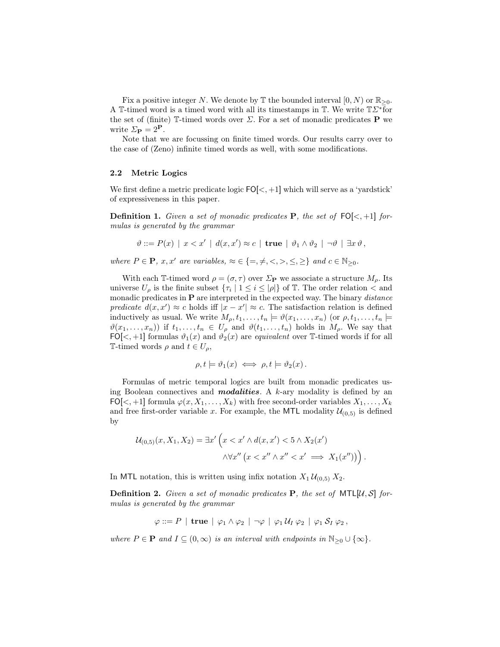Fix a positive integer N. We denote by  $\mathbb T$  the bounded interval  $[0, N)$  or  $\mathbb{R}_{>0}$ . A T-timed word is a timed word with all its timestamps in T. We write  $T\Sigma^*$  for the set of (finite)  $\mathbb{T}$ -timed words over  $\Sigma$ . For a set of monadic predicates **P** we write  $\Sigma_{\mathbf{P}} = 2^{\mathbf{P}}$ .

Note that we are focussing on finite timed words. Our results carry over to the case of (Zeno) infinite timed words as well, with some modifications.

#### 2.2 Metric Logics

We first define a metric predicate logic  $FO[<, +1]$  which will serve as a 'yardstick' of expressiveness in this paper.

**Definition 1.** Given a set of monadic predicates **P**, the set of  $FO[\langle ,+1]$  formulas is generated by the grammar

$$
\vartheta ::= P(x) | x < x' | d(x, x') \approx c | \text{true} | \vartheta_1 \wedge \vartheta_2 | \neg \vartheta | \exists x \vartheta,
$$

where  $P \in \mathbf{P}$ , x, x' are variables,  $\approx \in \{=,\neq,<,>,\leq,\geq\}$  and  $c \in \mathbb{N}_{>0}$ .

With each T-timed word  $\rho = (\sigma, \tau)$  over  $\Sigma_{\mathbf{P}}$  we associate a structure  $M_o$ . Its universe  $U_{\rho}$  is the finite subset  $\{\tau_i \mid 1 \leq i \leq |\rho|\}$  of T. The order relation  $\langle$  and monadic predicates in  $P$  are interpreted in the expected way. The binary *distance* predicate  $d(x, x') \approx c$  holds iff  $|x - x'| \approx c$ . The satisfaction relation is defined inductively as usual. We write  $M_{\rho}, t_1, \ldots, t_n \models \vartheta(x_1, \ldots, x_n)$  (or  $\rho, t_1, \ldots, t_n \models$  $\vartheta(x_1,\ldots,x_n)$  if  $t_1,\ldots,t_n \in U_\rho$  and  $\vartheta(t_1,\ldots,t_n)$  holds in  $M_\rho$ . We say that FO[<, +1] formulas  $\vartheta_1(x)$  and  $\vartheta_2(x)$  are *equivalent* over T-timed words if for all T-timed words  $\rho$  and  $t \in U_\rho$ ,

$$
\rho, t \models \vartheta_1(x) \iff \rho, t \models \vartheta_2(x).
$$

Formulas of metric temporal logics are built from monadic predicates using Boolean connectives and **modalities**. A k-ary modality is defined by an  $FO[<, +1]$  formula  $\varphi(x, X_1, \ldots, X_k)$  with free second-order variables  $X_1, \ldots, X_k$ and free first-order variable x. For example, the MTL modality  $\mathcal{U}_{(0,5)}$  is defined by

$$
\mathcal{U}_{(0,5)}(x, X_1, X_2) = \exists x' \left( x < x' \land d(x, x') < 5 \land X_2(x') \right. \\
\left. \land \forall x'' \left( x < x'' \land x'' < x' \implies X_1(x'') \right) \right).
$$

In MTL notation, this is written using infix notation  $X_1 \mathcal{U}_{(0,5)} X_2$ .

**Definition 2.** Given a set of monadic predicates **P**, the set of MTL[U, S] formulas is generated by the grammar

 $\varphi ::= P \mid \text{true} \mid \varphi_1 \wedge \varphi_2 \mid \neg \varphi \mid \varphi_1 \mathcal{U}_I \varphi_2 \mid \varphi_1 \mathcal{S}_I \varphi_2,$ 

where  $P \in \mathbf{P}$  and  $I \subseteq (0, \infty)$  is an interval with endpoints in  $\mathbb{N}_{\geq 0} \cup \{\infty\}.$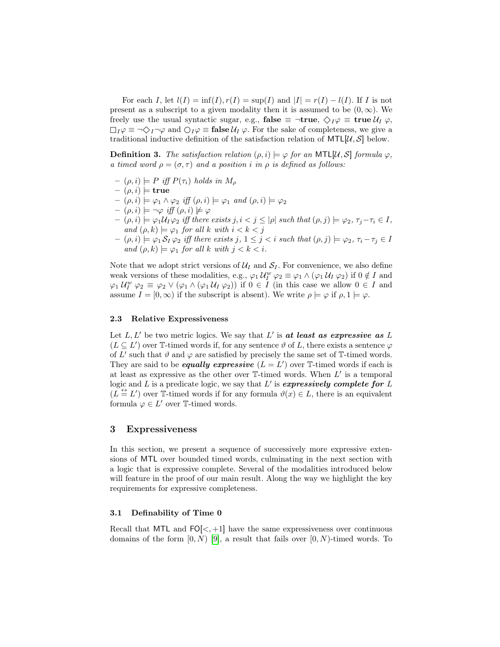For each I, let  $l(I) = \inf(I), r(I) = \sup(I)$  and  $|I| = r(I) - l(I)$ . If I is not present as a subscript to a given modality then it is assumed to be  $(0, \infty)$ . We freely use the usual syntactic sugar, e.g., false  $\equiv \neg \textbf{true}, \diamondsuit_I \varphi \equiv \textbf{true} \mathcal{U}_I \varphi$ ,  $\Box_I \varphi \equiv \neg \Diamond_I \neg \varphi$  and  $\bigcirc_I \varphi \equiv \mathbf{false} \mathcal{U}_I \varphi$ . For the sake of completeness, we give a traditional inductive definition of the satisfaction relation of  $MTL[\mathcal{U}, \mathcal{S}]$  below.

**Definition 3.** The satisfaction relation  $(\rho, i) \models \varphi$  for an MTL[U, S] formula  $\varphi$ , a timed word  $\rho = (\sigma, \tau)$  and a position i in  $\rho$  is defined as follows:

- $(\rho, i) \models P$  iff  $P(\tau_i)$  holds in  $M_\rho$
- $(\rho, i) \models$  true
- $(\rho, i) \models \varphi_1 \land \varphi_2$  iff  $(\rho, i) \models \varphi_1$  and  $(\rho, i) \models \varphi_2$
- $(\rho, i) \models \neg \varphi \text{ iff } (\rho, i) \not\models \varphi$
- $(\rho, i) \models \varphi_1 \mathcal{U}_I \varphi_2$  iff there exists  $j, i < j \leq |\rho|$  such that  $(\rho, j) \models \varphi_2, \tau_j \tau_i \in I$ , and  $(\rho, k) \models \varphi_1$  for all k with  $i < k < j$
- $(- (\rho, i) \models \varphi_1 S_I \varphi_2$  iff there exists j,  $1 \leq j < i$  such that  $(\rho, j) \models \varphi_2, \tau_i \tau_j \in I$ and  $(\rho, k) \models \varphi_1$  for all k with  $j < k < i$ .

Note that we adopt strict versions of  $\mathcal{U}_I$  and  $\mathcal{S}_I$ . For convenience, we also define weak versions of these modalities, e.g.,  $\varphi_1 U_I^w \varphi_2 \equiv \varphi_1 \wedge (\varphi_1 U_I \varphi_2)$  if  $0 \notin I$  and  $\varphi_1 \mathcal{U}_I^w \varphi_2 \equiv \varphi_2 \vee (\varphi_1 \wedge (\varphi_1 \mathcal{U}_I \varphi_2))$  if  $0 \in I$  (in this case we allow  $0 \in I$  and assume  $I = [0, \infty)$  if the subscript is absent). We write  $\rho \models \varphi$  if  $\rho, 1 \models \varphi$ .

#### 2.3 Relative Expressiveness

Let  $L, L'$  be two metric logics. We say that  $L'$  is at least as expressive as  $L$  $(L \subseteq L')$  over T-timed words if, for any sentence  $\vartheta$  of L, there exists a sentence  $\varphi$ of L' such that  $\vartheta$  and  $\varphi$  are satisfied by precisely the same set of T-timed words. They are said to be **equally expressive**  $(L = L')$  over T-timed words if each is at least as expressive as the other over  $\mathbb{T}\text{-}\mathrm{timed}$  words. When  $L'$  is a temporal logic and L is a predicate logic, we say that  $L'$  is expressively complete for L  $(L \stackrel{\leftrightarrow}{=} L')$  over T-timed words if for any formula  $\vartheta(x) \in L$ , there is an equivalent formula  $\varphi \in L'$  over T-timed words.

# 3 Expressiveness

In this section, we present a sequence of successively more expressive extensions of MTL over bounded timed words, culminating in the next section with a logic that is expressive complete. Several of the modalities introduced below will feature in the proof of our main result. Along the way we highlight the key requirements for expressive completeness.

#### <span id="page-3-0"></span>3.1 Definability of Time 0

Recall that MTL and  $FO[\lt, +1]$  have the same expressiveness over continuous domains of the form  $[0, N)$  [\[9\]](#page-13-5), a result that fails over  $[0, N)$ -timed words. To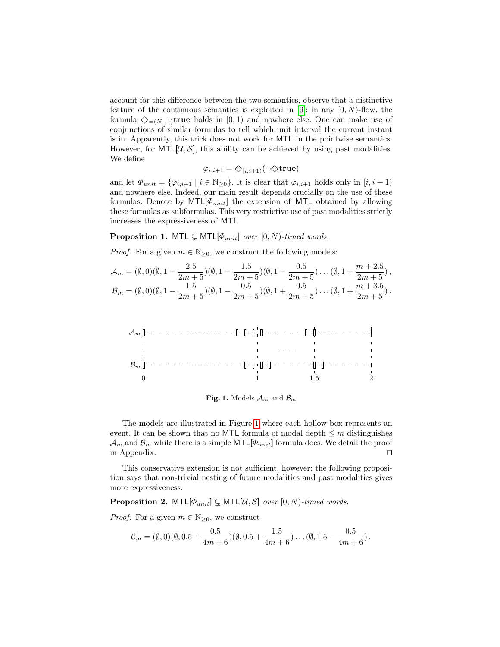account for this difference between the two semantics, observe that a distinctive feature of the continuous semantics is exploited in [\[9\]](#page-13-5): in any  $[0, N)$ -flow, the formula  $\Diamond_{=(N-1)}$ true holds in [0, 1) and nowhere else. One can make use of conjunctions of similar formulas to tell which unit interval the current instant is in. Apparently, this trick does not work for MTL in the pointwise semantics. However, for  $MTL[\mathcal{U}, \mathcal{S}]$ , this ability can be achieved by using past modalities. We define

$$
\varphi_{i,i+1} = \diamondsuit_{[i,i+1)}(\neg \diamondsuit \mathbf{true})
$$

and let  $\Phi_{unit} = {\varphi_{i,i+1} \mid i \in \mathbb{N}_{\geq 0}}$ . It is clear that  $\varphi_{i,i+1}$  holds only in  $[i, i+1)$ and nowhere else. Indeed, our main result depends crucially on the use of these formulas. Denote by  $MTL[\Phi_{unit}]$  the extension of MTL obtained by allowing these formulas as subformulas. This very restrictive use of past modalities strictly increases the expressiveness of MTL.

<span id="page-4-1"></span>**Proposition 1.** MTL  $\subsetneq$  MTL[ $\Phi_{unit}$ ] over [0, N)-timed words.

*Proof.* For a given  $m \in \mathbb{N}_{\geq 0}$ , we construct the following models:

$$
\mathcal{A}_m = (\emptyset, 0)(\emptyset, 1 - \frac{2.5}{2m+5})(\emptyset, 1 - \frac{1.5}{2m+5})(\emptyset, 1 - \frac{0.5}{2m+5})\dots(\emptyset, 1 + \frac{m+2.5}{2m+5}),
$$
  
\n
$$
\mathcal{B}_m = (\emptyset, 0)(\emptyset, 1 - \frac{1.5}{2m+5})(\emptyset, 1 - \frac{0.5}{2m+5})(\emptyset, 1 + \frac{0.5}{2m+5})\dots(\emptyset, 1 + \frac{m+3.5}{2m+5}).
$$

A<sup>m</sup> B<sup>m</sup> 0 1 1.5 2

<span id="page-4-0"></span>Fig. 1. Models  $\mathcal{A}_m$  and  $\mathcal{B}_m$ 

The models are illustrated in Figure [1](#page-4-0) where each hollow box represents an event. It can be shown that no MTL formula of modal depth  $\leq m$  distinguishes  $\mathcal{A}_m$  and  $\mathcal{B}_m$  while there is a simple MTL[ $\Phi_{unit}$ ] formula does. We detail the proof in Appendix.  $\Box$ 

This conservative extension is not sufficient, however: the following proposition says that non-trivial nesting of future modalities and past modalities gives more expressiveness.

**Proposition 2.** MTL $[\Phi_{unit}] \subsetneq$  MTL $[\mathcal{U}, \mathcal{S}]$  over  $[0, N)$ -timed words.

*Proof.* For a given  $m \in \mathbb{N}_{\geq 0}$ , we construct

<span id="page-4-2"></span>
$$
C_m = (\emptyset, 0)(\emptyset, 0.5 + \frac{0.5}{4m+6})(\emptyset, 0.5 + \frac{1.5}{4m+6})\dots(\emptyset, 1.5 - \frac{0.5}{4m+6}).
$$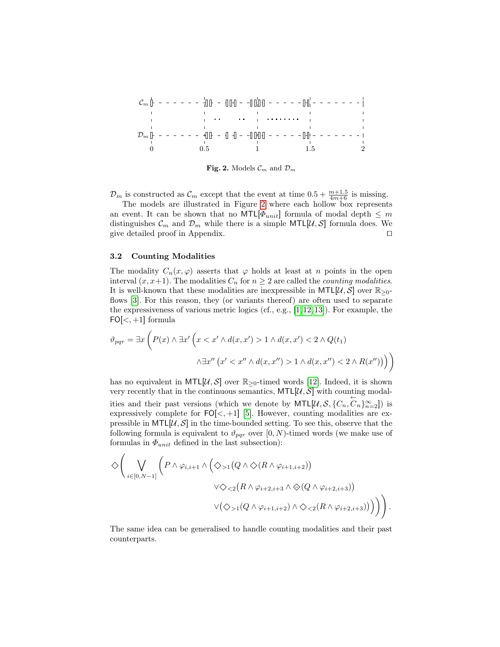C<sup>m</sup> D<sup>m</sup> 0 0.5 1 1.5 2

<span id="page-5-0"></span>Fig. 2. Models  $\mathcal{C}_m$  and  $\mathcal{D}_m$ 

 $\mathcal{D}_m$  is constructed as  $\mathcal{C}_m$  except that the event at time  $0.5 + \frac{m+1.5}{4m+6}$  is missing.

The models are illustrated in Figure [2](#page-5-0) where each hollow box represents an event. It can be shown that no  $\text{MTL}[\Phi_{unit}]$  formula of modal depth  $\leq m$ distinguishes  $\mathcal{C}_m$  and  $\mathcal{D}_m$  while there is a simple MTL[U, S] formula does. We give detailed proof in Appendix.  $\Box$ 

#### 3.2 Counting Modalities

The modality  $C_n(x, \varphi)$  asserts that  $\varphi$  holds at least at n points in the open interval  $(x, x+1)$ . The modalities  $C_n$  for  $n \geq 2$  are called the *counting modalities*. It is well-known that these modalities are inexpressible in MTL[U, S] over  $\mathbb{R}_{\geq 0}$ -flows [\[3\]](#page-13-9). For this reason, they (or variants thereof) are often used to separate the expressiveness of various metric logics (cf., e.g., [\[1,](#page-13-10)[12,](#page-13-11)[13\]](#page-13-12)). For example, the  $FO[<, +1]$  formula

$$
\vartheta_{pqr} = \exists x \left( P(x) \land \exists x' \left( x < x' \land d(x, x') > 1 \land d(x, x') < 2 \land Q(t_1) \right) \right)
$$
\n
$$
\land \exists x'' \left( x' < x'' \land d(x, x'') > 1 \land d(x, x'') < 2 \land R(x'')) \right) \right)
$$

has no equivalent in MTL[ $\mathcal{U}, \mathcal{S}$ ] over  $\mathbb{R}_{\geq 0}$ -timed words [\[12\]](#page-13-11). Indeed, it is shown very recently that in the continuous semantics,  $MTL[\mathcal{U}, \mathcal{S}]$  with counting modalities and their past versions (which we denote by  $MTL[\mathcal{U}, \mathcal{S}, \{C_n, C_n\}_{n=2}^{\infty}])$  is expressively complete for  $FO[<, +1]$  [\[5\]](#page-13-7). However, counting modalities are expressible in  $MTL[\mathcal{U}, \mathcal{S}]$  in the time-bounded setting. To see this, observe that the following formula is equivalent to  $\vartheta_{pqr}$  over [0, N)-timed words (we make use of formulas in  $\Phi_{unit}$  defined in the last subsection):

$$
\diamondsuit \Bigg(\bigvee_{i \in [0,N-1]} \Big( P \wedge \varphi_{i,i+1} \wedge \Big( \diamondsuit_{>1} (Q \wedge \diamondsuit (R \wedge \varphi_{i+1,i+2})) \\ \vee \diamondsuit_{<2} (R \wedge \varphi_{i+2,i+3} \wedge \diamondsuit (Q \wedge \varphi_{i+2,i+3})) \\ \vee (\diamondsuit_{>1} (Q \wedge \varphi_{i+1,i+2}) \wedge \diamondsuit_{<2} (R \wedge \varphi_{i+2,i+3})) \Big) \Bigg) \Bigg).
$$

The same idea can be generalised to handle counting modalities and their past counterparts.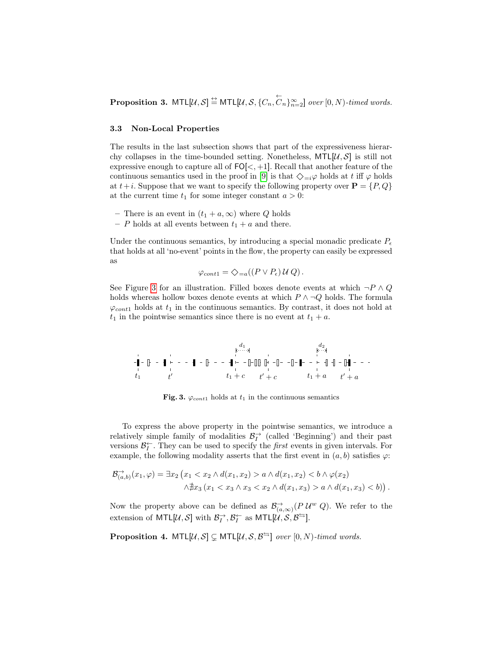**Proposition 3.**  $MTL[\mathcal{U}, \mathcal{S}] \stackrel{\leftrightarrow}{=} MTL[\mathcal{U}, \mathcal{S}, \{C_n, \overleftarrow{C}_n\}_{n=2}^{\infty}]$  over  $[0, N)$ -timed words.

#### <span id="page-6-1"></span>3.3 Non-Local Properties

The results in the last subsection shows that part of the expressiveness hierarchy collapses in the time-bounded setting. Nonetheless,  $MTL[\mathcal{U}, \mathcal{S}]$  is still not expressive enough to capture all of  $FO[<, +1]$ . Recall that another feature of the continuous semantics used in the proof in [\[9\]](#page-13-5) is that  $\Diamond_{i\neq j}\varphi$  holds at t iff  $\varphi$  holds at  $t+i$ . Suppose that we want to specify the following property over  $P = \{P, Q\}$ at the current time  $t_1$  for some integer constant  $a > 0$ :

- There is an event in  $(t_1 + a, \infty)$  where Q holds
- P holds at all events between  $t_1 + a$  and there.

Under the continuous semantics, by introducing a special monadic predicate  $P_e$ that holds at all 'no-event' points in the flow, the property can easily be expressed as

$$
\varphi_{cont1} = \diamondsuit_{=a}((P \vee P_{\epsilon}) \mathcal{U} Q).
$$

See Figure [3](#page-6-0) for an illustration. Filled boxes denote events at which  $\neg P \wedge Q$ holds whereas hollow boxes denote events at which  $P \wedge \neg Q$  holds. The formula  $\varphi_{cont1}$  holds at  $t_1$  in the continuous semantics. By contrast, it does not hold at  $t_1$  in the pointwise semantics since there is no event at  $t_1 + a$ .

t<sup>1</sup> t <sup>0</sup> t<sup>1</sup> + c t <sup>0</sup> + c t<sup>1</sup> + a t <sup>0</sup> + a d<sup>1</sup> d<sup>2</sup>

<span id="page-6-0"></span>Fig. 3.  $\varphi_{cont1}$  holds at  $t_1$  in the continuous semantics

To express the above property in the pointwise semantics, we introduce a relatively simple family of modalities  $\mathcal{B}^{\rightarrow}_{I}$  (called 'Beginning') and their past versions  $\mathcal{B}_{I}^{\leftarrow}$ . They can be used to specify the *first* events in given intervals. For example, the following modality asserts that the first event in  $(a, b)$  satisfies  $\varphi$ :

$$
\mathcal{B}_{(a,b)}^{\to}(x_1,\varphi) = \exists x_2 \left( x_1 < x_2 \land d(x_1,x_2) > a \land d(x_1,x_2) < b \land \varphi(x_2) \\ \land \nexists x_3 \left( x_1 < x_3 \land x_3 < x_2 \land d(x_1,x_3) > a \land d(x_1,x_3) < b \right) \right).
$$

Now the property above can be defined as  $\mathcal{B}^{\rightarrow}_{(a,\infty)}(P \mathcal{U}^w Q)$ . We refer to the extension of  $\textsf{MTL}[\mathcal{U}, \mathcal{S}]$  with  $\mathcal{B}_I^{\to}, \mathcal{B}_I^{\leftarrow}$  as  $\textsf{MTL}[\mathcal{U}, \mathcal{S}, \mathcal{B}^{\leftarrow}].$ 

<span id="page-6-2"></span>**Proposition 4.**  $MTL[\mathcal{U}, \mathcal{S}] \subsetneq MTL[\mathcal{U}, \mathcal{S}, \mathcal{B}^{\leftrightharpoons}]$  over  $[0, N)$ -timed words.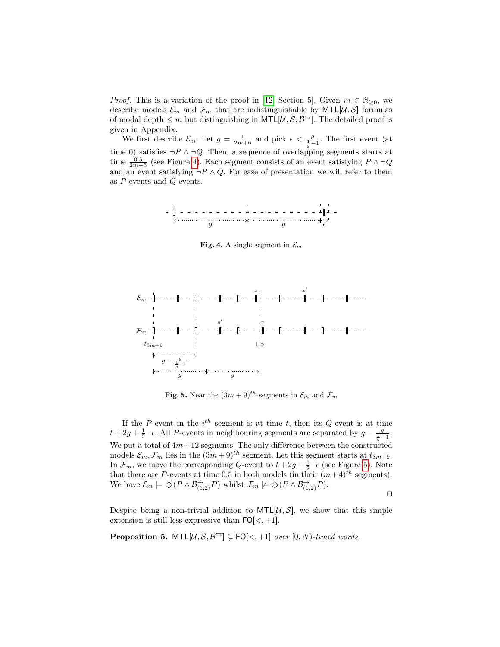*Proof.* This is a variation of the proof in [\[12,](#page-13-11) Section 5]. Given  $m \in \mathbb{N}_{\geq 0}$ , we describe models  $\mathcal{E}_m$  and  $\mathcal{F}_m$  that are indistinguishable by MTL[U, S] formulas of modal depth  $\leq m$  but distinguishing in MTL[ $\mathcal{U}, \mathcal{S}, \mathcal{B}^{\leftrightharpoons}$ ]. The detailed proof is given in Appendix.

We first describe  $\mathcal{E}_m$ . Let  $g = \frac{1}{2m+6}$  and pick  $\epsilon < \frac{g}{\frac{1}{g}-1}$ . The first event (at time 0) satisfies  $\neg P \land \neg Q$ . Then, a sequence of overlapping segments starts at time  $\frac{0.5}{2m+5}$  (see Figure [4\)](#page-7-0). Each segment consists of an event satisfying  $P \wedge \neg Q$ and an event satisfying  $\neg P \wedge Q$ . For ease of presentation we will refer to them as P-events and Q-events.



<span id="page-7-0"></span>Fig. 4. A single segment in  $\mathcal{E}_m$ 



<span id="page-7-1"></span>**Fig. 5.** Near the  $(3m + 9)^{th}$ -segments in  $\mathcal{E}_m$  and  $\mathcal{F}_m$ 

If the P-event in the  $i^{th}$  segment is at time t, then its Q-event is at time  $t + 2g + \frac{1}{2} \cdot \epsilon$ . All P-events in neighbouring segments are separated by  $g - \frac{g}{\frac{1}{g}-1}$ . We put a total of  $4m+12$  segments. The only difference between the constructed models  $\mathcal{E}_m$ ,  $\mathcal{F}_m$  lies in the  $(3m+9)^{th}$  segment. Let this segment starts at  $t_{3m+9}$ . In  $\mathcal{F}_m$ , we move the corresponding Q-event to  $t + 2g - \frac{1}{2} \cdot \epsilon$  (see Figure [5\)](#page-7-1). Note that there are P-events at time 0.5 in both models (in their  $(m+4)^{th}$  segments). We have  $\mathcal{E}_m \models \diamondsuit(P \wedge \mathcal{B}_{(1,2)}^{\rightarrow} P)$  whilst  $\mathcal{F}_m \not\models \diamondsuit(P \wedge \mathcal{B}_{(1,2)}^{\rightarrow} P)$ .

 $\Box$ 

Despite being a non-trivial addition to  $MTL[\mathcal{U}, \mathcal{S}]$ , we show that this simple extension is still less expressive than  $FO[<, +1]$ .

<span id="page-7-2"></span>**Proposition 5.** MTL[ $\mathcal{U}, \mathcal{S}, \mathcal{B}^{\leftrightharpoons}$ ]  $\subsetneq$  FO[<, +1] over [0, N)-timed words.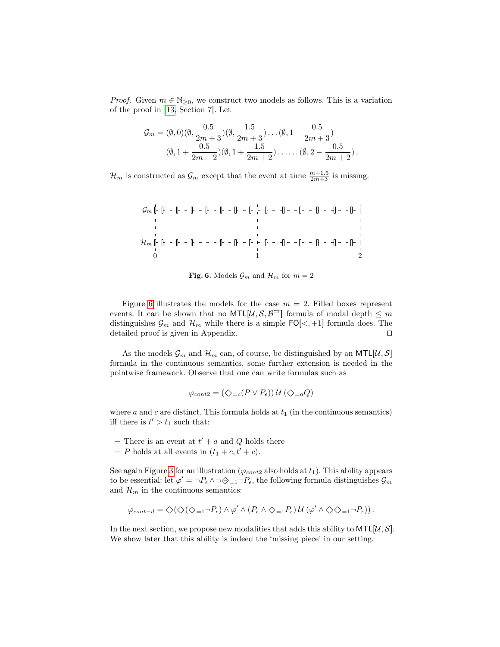*Proof.* Given  $m \in \mathbb{N}_{\geq 0}$ , we construct two models as follows. This is a variation of the proof in [\[13,](#page-13-12) Section 7]. Let

$$
\mathcal{G}_m = (\emptyset, 0)(\emptyset, \frac{0.5}{2m+3})(\emptyset, \frac{1.5}{2m+3})\dots(\emptyset, 1-\frac{0.5}{2m+3})
$$

$$
(\emptyset, 1+\frac{0.5}{2m+2})(\emptyset, 1+\frac{1.5}{2m+2})\dots\dots(\emptyset, 2-\frac{0.5}{2m+2}).
$$

 $\mathcal{H}_m$  is constructed as  $\mathcal{G}_m$  except that the event at time  $\frac{m+1.5}{2m+3}$  is missing.

G<sup>m</sup> H<sup>m</sup> 0 1 2

<span id="page-8-0"></span>Fig. 6. Models  $\mathcal{G}_m$  and  $\mathcal{H}_m$  for  $m=2$ 

Figure [6](#page-8-0) illustrates the models for the case  $m = 2$ . Filled boxes represent events. It can be shown that no MTL[ $\mathcal{U}, \mathcal{S}, \mathcal{B}^{\leftrightharpoons}$ ] formula of modal depth  $\leq m$ distinguishes  $\mathcal{G}_m$  and  $\mathcal{H}_m$  while there is a simple FO[ $\lt$ , +1] formula does. The detailed proof is given in Appendix.  $\Box$ 

As the models  $\mathcal{G}_m$  and  $\mathcal{H}_m$  can, of course, be distinguished by an MTL[U, S] formula in the continuous semantics, some further extension is needed in the pointwise framework. Observe that one can write formulas such as

$$
\varphi_{cont2} = (\varphi_{=c}(P \vee P_{\epsilon})) \mathcal{U} (\varphi_{=a} Q)
$$

where  $a$  and  $c$  are distinct. This formula holds at  $t_1$  (in the continuous semantics) iff there is  $t' > t_1$  such that:

- There is an event at  $t' + a$  and Q holds there
- P holds at all events in  $(t_1 + c, t' + c)$ .

See again Figure [3](#page-6-0) for an illustration ( $\varphi_{cont2}$  also holds at  $t_1$ ). This ability appears to be essential: let  $\varphi' = \neg P_{\epsilon} \land \neg \diamondsuit_{i=1} \neg P_{\epsilon}$ , the following formula distinguishes  $\mathcal{G}_m$ and  $\mathcal{H}_m$  in the continuous semantics:

$$
\varphi_{cont-d} = \diamondsuit(\diamondsuit(\diamondsuit_{=1} \neg P_{\epsilon}) \wedge \varphi' \wedge (P_{\epsilon} \wedge \diamondsuit_{=1} P_{\epsilon}) \mathcal{U} (\varphi' \wedge \diamondsuit \diamondsuit_{=1} \neg P_{\epsilon})).
$$

In the next section, we propose new modalities that adds this ability to  $MTL[\mathcal{U}, \mathcal{S}]$ . We show later that this ability is indeed the 'missing piece' in our setting.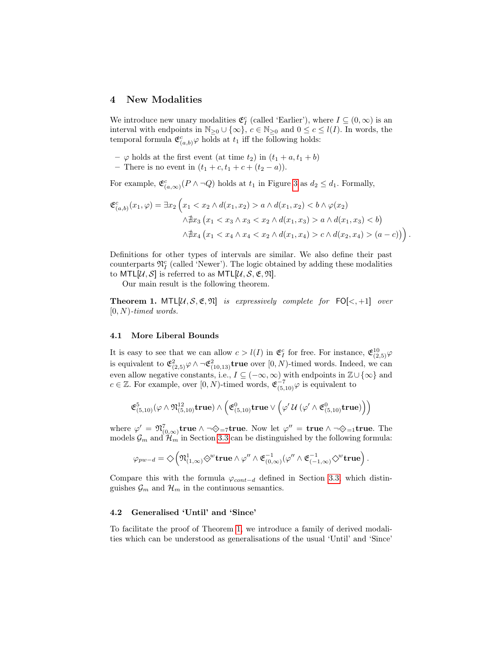# 4 New Modalities

We introduce new unary modalities  $\mathfrak{E}^c_I$  (called 'Earlier'), where  $I \subseteq (0, \infty)$  is an interval with endpoints in  $\mathbb{N}_{\geq 0} \cup \{\infty\}$ ,  $c \in \mathbb{N}_{\geq 0}$  and  $0 \leq c \leq l(I)$ . In words, the temporal formula  $\mathfrak{C}^c_{(a,b)}\varphi$  holds at  $t_1$  iff the following holds:

- $\varphi$  holds at the first event (at time  $t_2$ ) in  $(t_1 + a, t_1 + b)$
- There is no event in  $(t_1 + c, t_1 + c + (t_2 a))$ .

For example,  $\mathfrak{E}^c_{(a,\infty)}(P \wedge \neg Q)$  holds at  $t_1$  in Figure [3](#page-6-0) as  $d_2 \leq d_1$ . Formally,

$$
\mathfrak{E}_{(a,b)}^c(x_1,\varphi) = \exists x_2 \left( x_1 < x_2 \land d(x_1,x_2) > a \land d(x_1,x_2) < b \land \varphi(x_2) \land \nexists x_3 \left( x_1 < x_3 \land x_3 < x_2 \land d(x_1,x_3) > a \land d(x_1,x_3) < b \right) \land \nexists x_4 \left( x_1 < x_4 \land x_4 < x_2 \land d(x_1,x_4) > c \land d(x_2,x_4) > (a-c) \right) \right).
$$

Definitions for other types of intervals are similar. We also define their past counterparts  $\mathfrak{N}_I^c$  (called 'Newer'). The logic obtained by adding these modalities to MTL[ $\mathcal{U}, \mathcal{S}$ ] is referred to as MTL[ $\mathcal{U}, \mathcal{S}, \mathfrak{E}, \mathfrak{N}$ ].

Our main result is the following theorem.

<span id="page-9-0"></span>**Theorem 1.** MTL[ $\mathcal{U}, \mathcal{S}, \mathfrak{E}, \mathfrak{N}$ ] is expressively complete for FO[ $\lt, +1$ ] over  $[0, N)$ -timed words.

#### 4.1 More Liberal Bounds

It is easy to see that we can allow  $c > l(I)$  in  $\mathfrak{E}^c_I$  for free. For instance,  $\mathfrak{E}^{10}_{(2,5)}\varphi$ is equivalent to  $\mathfrak{E}^2_{(2,5)}\varphi \wedge \neg \mathfrak{E}^2_{(10,13)}$ true over  $[0, N)$ -timed words. Indeed, we can even allow negative constants, i.e.,  $I \subseteq (-\infty, \infty)$  with endpoints in  $\mathbb{Z} \cup \{\infty\}$  and  $c \in \mathbb{Z}$ . For example, over  $[0, N)$ -timed words,  $\mathfrak{E}_{(5,10)}^{-7} \varphi$  is equivalent to

$$
\mathfrak{E}^5_{(5,10)}(\varphi\wedge\mathfrak{N}_{(5,10)}^{12}\text{true})\wedge\left(\mathfrak{E}^0_{(5,10)}\text{true}\vee\left(\varphi'\,\mathcal{U}\,(\varphi'\wedge\mathfrak{E}^0_{(5,10)}\text{true})\right)\right)
$$

where  $\varphi' = \mathfrak{N}_{(0,\infty)}^7$ true  $\wedge \neg \diamondsuit_{=7}$ true. Now let  $\varphi'' = \textbf{true} \wedge \neg \diamondsuit_{=1}$ true. The models  $\mathcal{G}_m$  and  $\mathcal{H}_m$  in Section [3.3](#page-6-1) can be distinguished by the following formula:

$$
\varphi_{pw-d} = \diamondsuit \left( \mathfrak{N}_{(1,\infty)}^1 \diamondsuit^w \mathbf{true} \wedge \varphi'' \wedge \mathfrak{E}_{(0,\infty)}^{-1}(\varphi'' \wedge \mathfrak{E}_{(-1,\infty)}^{-1} \diamondsuit^w \mathbf{true} \right).
$$

Compare this with the formula  $\varphi_{cont-d}$  defined in Section [3.3,](#page-6-1) which distinguishes  $\mathcal{G}_m$  and  $\mathcal{H}_m$  in the continuous semantics.

#### 4.2 Generalised 'Until' and 'Since'

To facilitate the proof of Theorem [1,](#page-9-0) we introduce a family of derived modalities which can be understood as generalisations of the usual 'Until' and 'Since'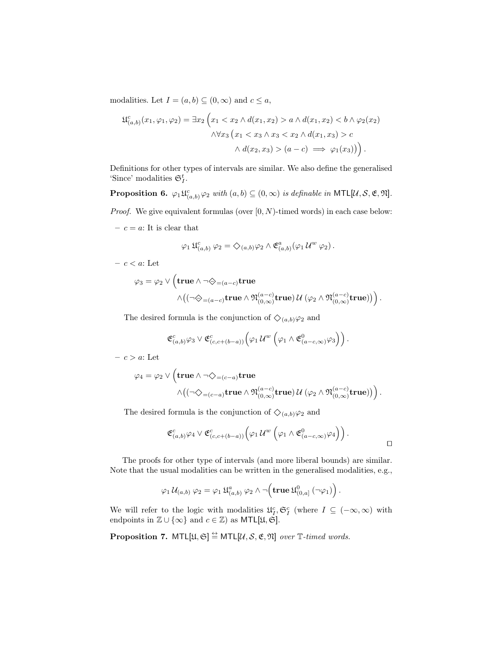modalities. Let  $I = (a, b) \subseteq (0, \infty)$  and  $c \le a$ ,

$$
\mathfrak{U}_{(a,b)}^c(x_1,\varphi_1,\varphi_2) = \exists x_2 \left( x_1 < x_2 \land d(x_1,x_2) > a \land d(x_1,x_2) < b \land \varphi_2(x_2) \land \forall x_3 \left( x_1 < x_3 \land x_3 < x_2 \land d(x_1,x_3) > c \land d(x_2,x_3) > (a-c) \implies \varphi_1(x_3) \right) \right).
$$

Definitions for other types of intervals are similar. We also define the generalised 'Since' modalities  $\mathfrak{S}_I^t$ .

**Proposition 6.**  $\varphi_1 \mathfrak{U}_{(a,b)}^c \varphi_2$  with  $(a,b) \subseteq (0,\infty)$  is definable in MTL[U, S, E, M].

*Proof.* We give equivalent formulas (over  $[0, N)$ -timed words) in each case below:

–  $c = a$ : It is clear that

$$
\varphi_1 \mathfrak{U}^c_{(a,b)} \varphi_2 = \diamondsuit_{(a,b)} \varphi_2 \wedge \mathfrak{E}^a_{(a,b)} (\varphi_1 \mathcal{U}^w \varphi_2).
$$

– c < a: Let

$$
\varphi_3 = \varphi_2 \vee \left(\mathbf{true} \wedge \neg \diamondsuit_{=(a-c)} \mathbf{true} \right. \\ \left. \qquad \qquad \wedge \big((\neg \diamondsuit_{=(a-c)} \mathbf{true} \wedge \mathfrak{N}_{(0,\infty)}^{(a-c)} \mathbf{true}) \, \mathcal{U} \, (\varphi_2 \wedge \mathfrak{N}_{(0,\infty)}^{(a-c)} \mathbf{true}) \big) \right).
$$

The desired formula is the conjunction of  $\Diamond_{(a,b)}\varphi_2$  and

$$
\mathfrak{E}^c_{(a,b)}\varphi_3\vee\mathfrak{E}^c_{(c,c+(b-a))}\Big(\varphi_1\,\mathcal{U}^w\,\left(\varphi_1\wedge\mathfrak{E}^0_{(a-c,\infty)}\varphi_3\right)\Big)\,.
$$

 $-c > a$ : Let

$$
\varphi_4 = \varphi_2 \vee \left( \mathbf{true} \wedge \neg \diamondsuit_{= (c-a)} \mathbf{true} \right. \\ \left. \qquad \qquad \wedge \big( (\neg \diamondsuit_{= (c-a)} \mathbf{true} \wedge \mathfrak{N}^{(a-c)}_{(0,\infty)} \mathbf{true}) \, \mathcal{U} \left( \varphi_2 \wedge \mathfrak{N}^{(a-c)}_{(0,\infty)} \mathbf{true} \right) \big) \right).
$$

The desired formula is the conjunction of  $\Diamond_{(a,b)}\varphi_2$  and

$$
\mathfrak{E}^c_{(a,b)}\varphi_4 \vee \mathfrak{E}^c_{(c,c+(b-a))}\Big(\varphi_1 \,\mathcal{U}^w\,\left(\varphi_1 \wedge \mathfrak{E}^0_{(a-c,\infty)}\varphi_4\right)\Big)\,.
$$

The proofs for other type of intervals (and more liberal bounds) are similar. Note that the usual modalities can be written in the generalised modalities, e.g.,

$$
\varphi_1 \mathcal{U}_{(a,b)} \varphi_2 = \varphi_1 \mathfrak{U}^a_{(a,b)} \varphi_2 \wedge \neg \left( \mathbf{true} \mathfrak{U}^0_{(0,a]} (\neg \varphi_1) \right).
$$

We will refer to the logic with modalities  $\mathfrak{U}_I^c$ ,  $\mathfrak{S}_I^c$  (where  $I \subseteq (-\infty, \infty)$  with endpoints in  $\mathbb{Z} \cup \{\infty\}$  and  $c \in \mathbb{Z}$ ) as MTL[ $\mathfrak{U}, \mathfrak{S}$ ].

**Proposition 7.** MTL $[\mathfrak{U}, \mathfrak{S}] \stackrel{\leftrightarrow}{=}$  MTL $[\mathcal{U}, \mathcal{S}, \mathfrak{E}, \mathfrak{N}]$  over  $\mathbb{T}\text{-}timed words$ .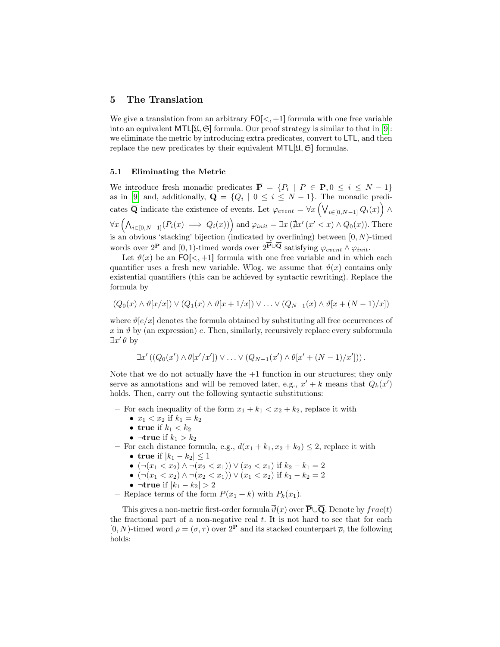# 5 The Translation

We give a translation from an arbitrary  $FO[\lt, +1]$  formula with one free variable into an equivalent MTL[ $\mathfrak{U}, \mathfrak{S}$ ] formula. Our proof strategy is similar to that in [\[9\]](#page-13-5): we eliminate the metric by introducing extra predicates, convert to LTL, and then replace the new predicates by their equivalent  $MTL[\mathfrak{U}, \mathfrak{S}]$  formulas.

#### <span id="page-11-0"></span>5.1 Eliminating the Metric

We introduce fresh monadic predicates  $\overline{\mathbf{P}} = \{P_i \mid P \in \mathbf{P}, 0 \le i \le N - 1\}$ as in [\[9\]](#page-13-5) and, additionally,  $\overline{\mathbf{Q}} = \{Q_i \mid 0 \leq i \leq N-1\}$ . The monadic predicates  $\overline{\bf Q}$  indicate the existence of events. Let  $\varphi_{event} = \forall x \left( \bigvee_{i \in [0, N-1]} Q_i(x) \right) \wedge$  $\forall x \left(\bigwedge_{i \in [0, N-1]} (P_i(x) \implies Q_i(x))\right) \text{and } \varphi_{init} = \exists x (\nexists x' (x' < x) \land Q_0(x))$ . There is an obvious 'stacking' bijection (indicated by overlining) between  $[0, N)$ -timed words over  $2^{\mathbf{P}}$  and  $[0, 1)$ -timed words over  $2^{\mathbf{P}\cup\mathbf{Q}}$  satisfying  $\varphi_{event} \wedge \varphi_{init}$ .

Let  $\vartheta(x)$  be an FO[<, +1] formula with one free variable and in which each quantifier uses a fresh new variable. Wlog. we assume that  $\vartheta(x)$  contains only existential quantifiers (this can be achieved by syntactic rewriting). Replace the formula by

$$
(Q_0(x) \wedge \vartheta[x/x]) \vee (Q_1(x) \wedge \vartheta[x+1/x]) \vee \ldots \vee (Q_{N-1}(x) \wedge \vartheta[x+(N-1)/x])
$$

where  $\vartheta[e/x]$  denotes the formula obtained by substituting all free occurrences of  $x$  in  $\vartheta$  by (an expression) e. Then, similarly, recursively replace every subformula  $\exists x' \theta$  by

$$
\exists x' ((Q_0(x') \wedge \theta[x'/x']) \vee \ldots \vee (Q_{N-1}(x') \wedge \theta[x' + (N-1)/x']))
$$

Note that we do not actually have the  $+1$  function in our structures; they only serve as annotations and will be removed later, e.g.,  $x' + k$  means that  $Q_k(x')$ holds. Then, carry out the following syntactic substitutions:

- For each inequality of the form  $x_1 + k_1 < x_2 + k_2$ , replace it with
	- $x_1 < x_2$  if  $k_1 = k_2$
	- true if  $k_1 < k_2$
	- $\neg$ true if  $k_1 > k_2$
- For each distance formula, e.g.,  $d(x_1 + k_1, x_2 + k_2) \leq 2$ , replace it with
	- true if  $|k_1 k_2| \leq 1$
	- $(\neg (x_1 < x_2) \land \neg (x_2 < x_1)) \lor (x_2 < x_1)$  if  $k_2 k_1 = 2$
	- $(\neg (x_1 < x_2) \land \neg (x_2 < x_1)) \lor (x_1 < x_2)$  if  $k_1 k_2 = 2$
	- ¬true if  $|k_1 k_2| > 2$
- Replace terms of the form  $P(x_1 + k)$  with  $P_k(x_1)$ .

This gives a non-metric first-order formula  $\overline{\vartheta}(x)$  over  $\overline{\mathbf{P}} \cup \overline{\mathbf{Q}}$ . Denote by  $frac(t)$ the fractional part of a non-negative real  $t$ . It is not hard to see that for each  $[0, N)$ -timed word  $\rho = (\sigma, \tau)$  over  $2^{\mathbf{P}}$  and its stacked counterpart  $\bar{\rho}$ , the following holds: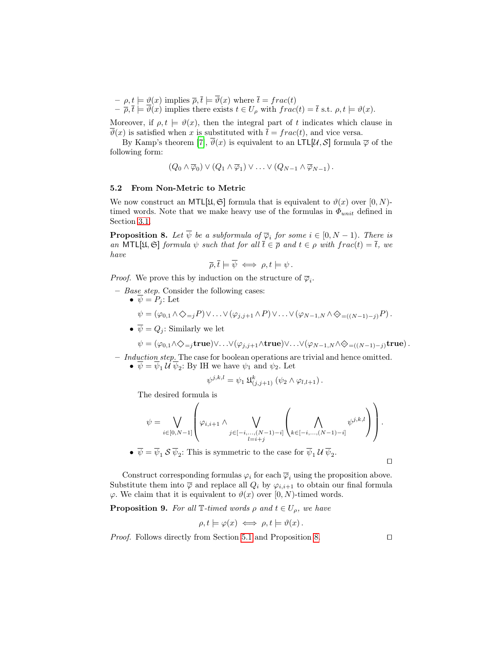$- \rho, t \models \vartheta(x)$  implies  $\overline{\rho}, \overline{t} \models \vartheta(x)$  where  $\overline{t} = frac(t)$  $-\overline{\rho}, \overline{t} \models \vartheta(x)$  implies there exists  $t \in U_\rho$  with  $frac(t) = \overline{t}$  s.t.  $\rho, t \models \vartheta(x)$ .

Moreover, if  $\rho, t \models \vartheta(x)$ , then the integral part of t indicates which clause in  $\vartheta(x)$  is satisfied when x is substituted with  $\bar{t} = frac(t)$ , and vice versa.

By Kamp's theorem [\[7\]](#page-13-1),  $\vartheta(x)$  is equivalent to an LTL[U, S] formula  $\overline{\varphi}$  of the following form:

$$
(Q_0 \wedge \overline{\varphi}_0) \vee (Q_1 \wedge \overline{\varphi}_1) \vee \ldots \vee (Q_{N-1} \wedge \overline{\varphi}_{N-1}).
$$

#### 5.2 From Non-Metric to Metric

We now construct an MTL[ $\mathfrak{U}, \mathfrak{S}$ ] formula that is equivalent to  $\vartheta(x)$  over  $[0, N)$ timed words. Note that we make heavy use of the formulas in  $\Phi_{unit}$  defined in Section [3.1.](#page-3-0)

<span id="page-12-0"></span>**Proposition 8.** Let  $\overline{\psi}$  be a subformula of  $\overline{\varphi}_i$  for some  $i \in [0, N - 1)$ . There is an MTL[ $\mathfrak{U}, \mathfrak{S}$ ] formula  $\psi$  such that for all  $\overline{t} \in \overline{\rho}$  and  $t \in \rho$  with frac $(t) = \overline{t}$ , we have

$$
\overline{\rho}, \overline{t} \models \overline{\psi} \iff \rho, t \models \psi.
$$

*Proof.* We prove this by induction on the structure of  $\overline{\varphi}_i$ .

- Base step. Consider the following cases:
	- $\bullet \ \overline{\psi} = P_i : \text{Let }$  $\psi = (\varphi_{0,1} \land \Diamond_{=j} P) \lor \ldots \lor (\varphi_{j,j+1} \land P) \lor \ldots \lor (\varphi_{N-1,N} \land \Diamond_{=((N-1)-j)} P).$
	- $\overline{\psi} = Q_i$ : Similarly we let

$$
\psi = (\varphi_{0,1} \wedge \Diamond_{=j} \mathbf{true}) \vee \ldots \vee (\varphi_{j,j+1} \wedge \mathbf{true}) \vee \ldots \vee (\varphi_{N-1,N} \wedge \Diamond_{=((N-1)-j)} \mathbf{true}).
$$

- $-$  Induction step. The case for boolean operations are trivial and hence omitted.
	- $\psi = \psi_1 \mathcal{U} \psi_2$ : By IH we have  $\psi_1$  and  $\psi_2$ . Let

$$
\psi^{j,k,l} = \psi_1 \mathfrak{U}^k_{(j,j+1)} (\psi_2 \wedge \varphi_{l,l+1}).
$$

The desired formula is

$$
\psi = \bigvee_{i \in [0, N-1]} \left( \varphi_{i, i+1} \wedge \bigvee_{j \in [-i, \dots, (N-1)-i]} \left( \bigwedge_{k \in [-i, \dots, (N-1)-i]} \psi^{j, k, l} \right) \right).
$$
  
\n•  $\overline{\psi} = \overline{\psi}_1 \mathcal{S} \overline{\psi}_2$ : This is symmetric to the case for  $\overline{\psi}_1 \mathcal{U} \overline{\psi}_2$ .

Construct corresponding formulas  $\varphi_i$  for each  $\overline{\varphi}_i$  using the proposition above. Substitute them into  $\overline{\varphi}$  and replace all  $Q_i$  by  $\varphi_{i,i+1}$  to obtain our final formula  $\varphi$ . We claim that it is equivalent to  $\vartheta(x)$  over [0, N)-timed words.

**Proposition 9.** For all  $\mathbb{T}$ -timed words  $\rho$  and  $t \in U_\rho$ , we have

$$
\rho, t \models \varphi(x) \iff \rho, t \models \vartheta(x).
$$

*Proof.* Follows directly from Section [5.1](#page-11-0) and Proposition [8.](#page-12-0)  $\Box$ 

 $\Box$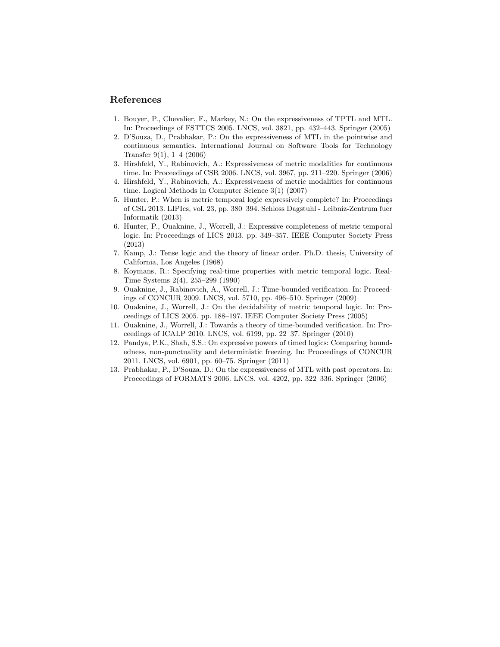# References

- <span id="page-13-10"></span>1. Bouyer, P., Chevalier, F., Markey, N.: On the expressiveness of TPTL and MTL. In: Proceedings of FSTTCS 2005. LNCS, vol. 3821, pp. 432–443. Springer (2005)
- <span id="page-13-0"></span>2. D'Souza, D., Prabhakar, P.: On the expressiveness of MTL in the pointwise and continuous semantics. International Journal on Software Tools for Technology Transfer 9(1), 1–4 (2006)
- <span id="page-13-9"></span>3. Hirshfeld, Y., Rabinovich, A.: Expressiveness of metric modalities for continuous time. In: Proceedings of CSR 2006. LNCS, vol. 3967, pp. 211–220. Springer (2006)
- <span id="page-13-4"></span>4. Hirshfeld, Y., Rabinovich, A.: Expressiveness of metric modalities for continuous time. Logical Methods in Computer Science 3(1) (2007)
- <span id="page-13-7"></span>5. Hunter, P.: When is metric temporal logic expressively complete? In: Proceedings of CSL 2013. LIPIcs, vol. 23, pp. 380–394. Schloss Dagstuhl - Leibniz-Zentrum fuer Informatik (2013)
- <span id="page-13-8"></span>6. Hunter, P., Ouaknine, J., Worrell, J.: Expressive completeness of metric temporal logic. In: Proceedings of LICS 2013. pp. 349–357. IEEE Computer Society Press (2013)
- <span id="page-13-1"></span>7. Kamp, J.: Tense logic and the theory of linear order. Ph.D. thesis, University of California, Los Angeles (1968)
- <span id="page-13-2"></span>8. Koymans, R.: Specifying real-time properties with metric temporal logic. Real-Time Systems 2(4), 255–299 (1990)
- <span id="page-13-5"></span>9. Ouaknine, J., Rabinovich, A., Worrell, J.: Time-bounded verification. In: Proceedings of CONCUR 2009. LNCS, vol. 5710, pp. 496–510. Springer (2009)
- <span id="page-13-3"></span>10. Ouaknine, J., Worrell, J.: On the decidability of metric temporal logic. In: Proceedings of LICS 2005. pp. 188–197. IEEE Computer Society Press (2005)
- <span id="page-13-6"></span>11. Ouaknine, J., Worrell, J.: Towards a theory of time-bounded verification. In: Proceedings of ICALP 2010. LNCS, vol. 6199, pp. 22–37. Springer (2010)
- <span id="page-13-11"></span>12. Pandya, P.K., Shah, S.S.: On expressive powers of timed logics: Comparing boundedness, non-punctuality and deterministic freezing. In: Proceedings of CONCUR 2011. LNCS, vol. 6901, pp. 60–75. Springer (2011)
- <span id="page-13-12"></span>13. Prabhakar, P., D'Souza, D.: On the expressiveness of MTL with past operators. In: Proceedings of FORMATS 2006. LNCS, vol. 4202, pp. 322–336. Springer (2006)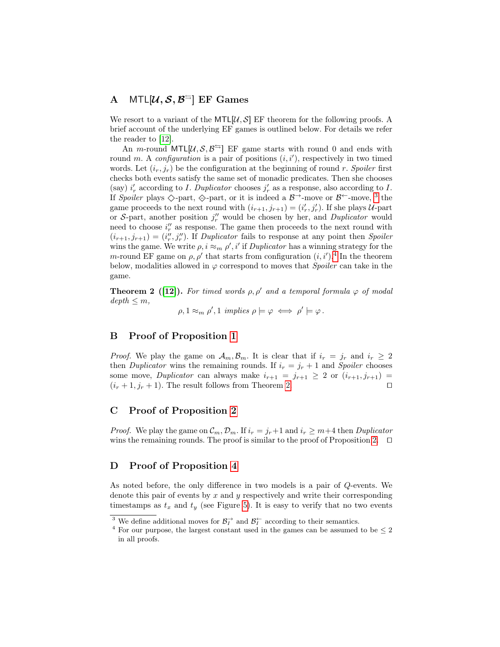# A MTL $[\mathcal{U}, \mathcal{S}, \mathcal{B}^{\leftrightharpoons}]$  EF Games

We resort to a variant of the MTL[ $\mathcal{U}, \mathcal{S}$ ] EF theorem for the following proofs. A brief account of the underlying EF games is outlined below. For details we refer the reader to [\[12\]](#page-13-11).

An *m*-round MTL[ $\mathcal{U}, \mathcal{S}, \mathcal{B}^{\leq}$ ] EF game starts with round 0 and ends with round m. A configuration is a pair of positions  $(i, i')$ , respectively in two timed words. Let  $(i_r, j_r)$  be the configuration at the beginning of round r. Spoiler first checks both events satisfy the same set of monadic predicates. Then she chooses (say)  $i'_r$  according to I. Duplicator chooses  $j'_r$  as a response, also according to I. If Spoiler plays  $\Diamond$ -part,  $\Diamond$ -part, or it is indeed a  $\mathcal{B}^{\rightarrow}$ -move or  $\mathcal{B}^{\leftarrow}$ -move, <sup>[3](#page-14-0)</sup> the game proceeds to the next round with  $(i_{r+1}, j_{r+1}) = (i'_r, j'_r)$ . If she plays U-part or S-part, another position  $j_r''$  would be chosen by her, and *Duplicator* would need to choose  $i_r''$  as response. The game then proceeds to the next round with  $(i_{r+1}, j_{r+1}) = (i''_r, j''_r)$ . If Duplicator fails to response at any point then Spoiler wins the game. We write  $\rho, i \approx_m \rho', i'$  if *Duplicator* has a winning strategy for the m-round EF game on  $\rho$ ,  $\rho'$  that starts from configuration  $(i, i')$ .<sup>[4](#page-14-1)</sup> In the theorem below, modalities allowed in  $\varphi$  correspond to moves that *Spoiler* can take in the game.

<span id="page-14-2"></span>**Theorem 2 ([\[12\]](#page-13-11)).** For timed words  $\rho, \rho'$  and a temporal formula  $\varphi$  of modal  $depth \leq m,$ 

 $\rho, 1 \approx_m \rho', 1 \implies \rho \models \varphi \iff \rho' \models \varphi.$ 

# B Proof of Proposition [1](#page-4-1)

*Proof.* We play the game on  $\mathcal{A}_m, \mathcal{B}_m$ . It is clear that if  $i_r = j_r$  and  $i_r \geq 2$ then *Duplicator* wins the remaining rounds. If  $i_r = j_r + 1$  and *Spoiler* chooses some move, Duplicator can always make  $i_{r+1} = j_{r+1} \geq 2$  or  $(i_{r+1}, j_{r+1}) =$  $(i_r+1, j_r+1)$ . The result follows from Theorem [2.](#page-14-2)

# C Proof of Proposition [2](#page-4-2)

*Proof.* We play the game on  $\mathcal{C}_m$ ,  $\mathcal{D}_m$ . If  $i_r = j_r + 1$  and  $i_r \geq m+4$  then *Duplicator* wins the remaining rounds. The proof is similar to the proof of Proposition [2.](#page-4-2)  $\Box$ 

# D Proof of Proposition [4](#page-6-2)

As noted before, the only difference in two models is a pair of Q-events. We denote this pair of events by  $x$  and  $y$  respectively and write their corresponding timestamps as  $t_x$  and  $t_y$  (see Figure [5\)](#page-7-1). It is easy to verify that no two events

<span id="page-14-0"></span><sup>&</sup>lt;sup>3</sup> We define additional moves for  $\mathcal{B}_I^{\rightarrow}$  and  $\mathcal{B}_I^{\leftarrow}$  according to their semantics.

<span id="page-14-1"></span> $^4$  For our purpose, the largest constant used in the games can be assumed to be  $\leq 2$ in all proofs.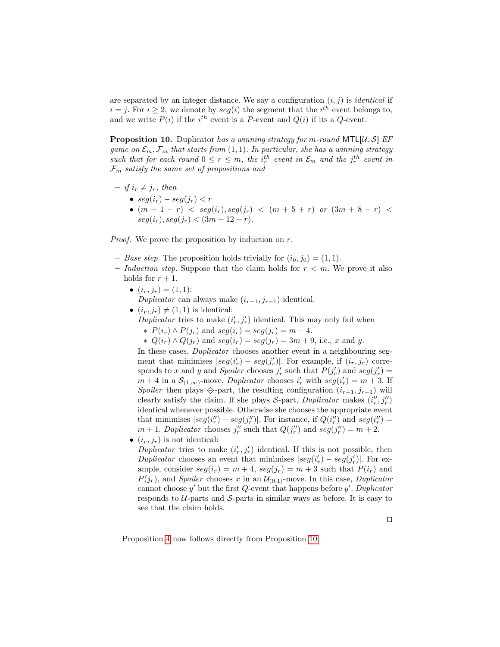are separated by an integer distance. We say a configuration  $(i, j)$  is *identical* if  $i = j$ . For  $i \geq 2$ , we denote by  $seg(i)$  the segment that the  $i<sup>th</sup>$  event belongs to, and we write  $P(i)$  if the i<sup>th</sup> event is a P-event and  $Q(i)$  if its a Q-event.

<span id="page-15-0"></span>**Proposition 10.** Duplicator has a winning strategy for m-round MTL[ $U, S$ ] EF game on  $\mathcal{E}_m$ ,  $\mathcal{F}_m$  that starts from  $(1, 1)$ . In particular, she has a winning strategy such that for each round  $0 \le r \le m$ , the  $i_r^{th}$  event in  $\mathcal{E}_m$  and the  $j_r^{th}$  event in  $\mathcal{F}_m$  satisfy the same set of propositions and

- $-$  if  $i_r \neq j_r$ , then
	- $seg(i_r) seg(j_r) < r$
	- $(m + 1 r) < seg(i_r), seg(j_r) < (m + 5 + r)$  or  $(3m + 8 r) <$  $seq(i_r), seq(j_r) < (3m + 12 + r).$

Proof. We prove the proposition by induction on r.

- Base step. The proposition holds trivially for  $(i_0, j_0) = (1, 1)$ .
- Induction step. Suppose that the claim holds for  $r < m$ . We prove it also holds for  $r + 1$ .
	- $(i_r, j_r) = (1, 1)$ : Duplicator can always make  $(i_{r+1}, j_{r+1})$  identical.
	- $(i_r, j_r) \neq (1, 1)$  is identical: Duplicator tries to make  $(i'_r, j'_r)$  identical. This may only fail when
		- $\ast$  P(i<sub>r</sub>) ∧ P(j<sub>r</sub>) and seg(i<sub>r</sub>) = seg(j<sub>r</sub>) = m + 4.
		- ∗  $Q(i_r) \wedge Q(j_r)$  and  $seg(i_r) = seg(j_r) = 3m + 9$ , i.e., x and y.

In these cases, *Duplicator* chooses another event in a neighbouring segment that minimises  $|seg(i'_r) - seg(j'_r)|$ . For example, if  $(i_r, j_r)$  corresponds to x and y and Spoiler chooses  $j'_r$  such that  $P(j'_r)$  and  $seg(j'_r)$  $m+4$  in a  $\mathcal{S}_{(1,\infty)}$ -move, *Duplicator* chooses  $i'_r$  with  $seg(i'_r) = m+3$ . If Spoiler then plays  $\Diamond$ -part, the resulting configuration  $(i_{r+1}, j_{r+1})$  will clearly satisfy the claim. If she plays  $S$ -part, *Duplicator* makes  $(i_r^{\prime\prime}, j_r^{\prime\prime})$ identical whenever possible. Otherwise she chooses the appropriate event that minimises  $|seg(i'_{r}) - seg(j''_{r})|$ . For instance, if  $Q(i''_{r})$  and  $seg(i''_{r}) =$  $m + 1$ , Duplicator chooses  $j_r''$  such that  $Q(j_r'')$  and  $seg(j_r'') = m + 2$ .

•  $(i_r, j_r)$  is not identical:

Duplicator tries to make  $(i'_r, j'_r)$  identical. If this is not possible, then Duplicator chooses an event that minimises  $|seg(i'_r) - seg(j'_r)|$ . For example, consider  $seg(i_r) = m + 4$ ,  $seg(j_r) = m + 3$  such that  $P(i_r)$  and  $P(j_r)$ , and Spoiler chooses x in an  $\mathcal{U}_{(0,1)}$ -move. In this case, Duplicator cannot choose  $y'$  but the first  $Q$ -event that happens before  $y'$ . Duplicator responds to  $U$ -parts and  $S$ -parts in similar ways as before. It is easy to see that the claim holds.

 $\Box$ 

Proposition [4](#page-6-2) now follows directly from Proposition [10.](#page-15-0)